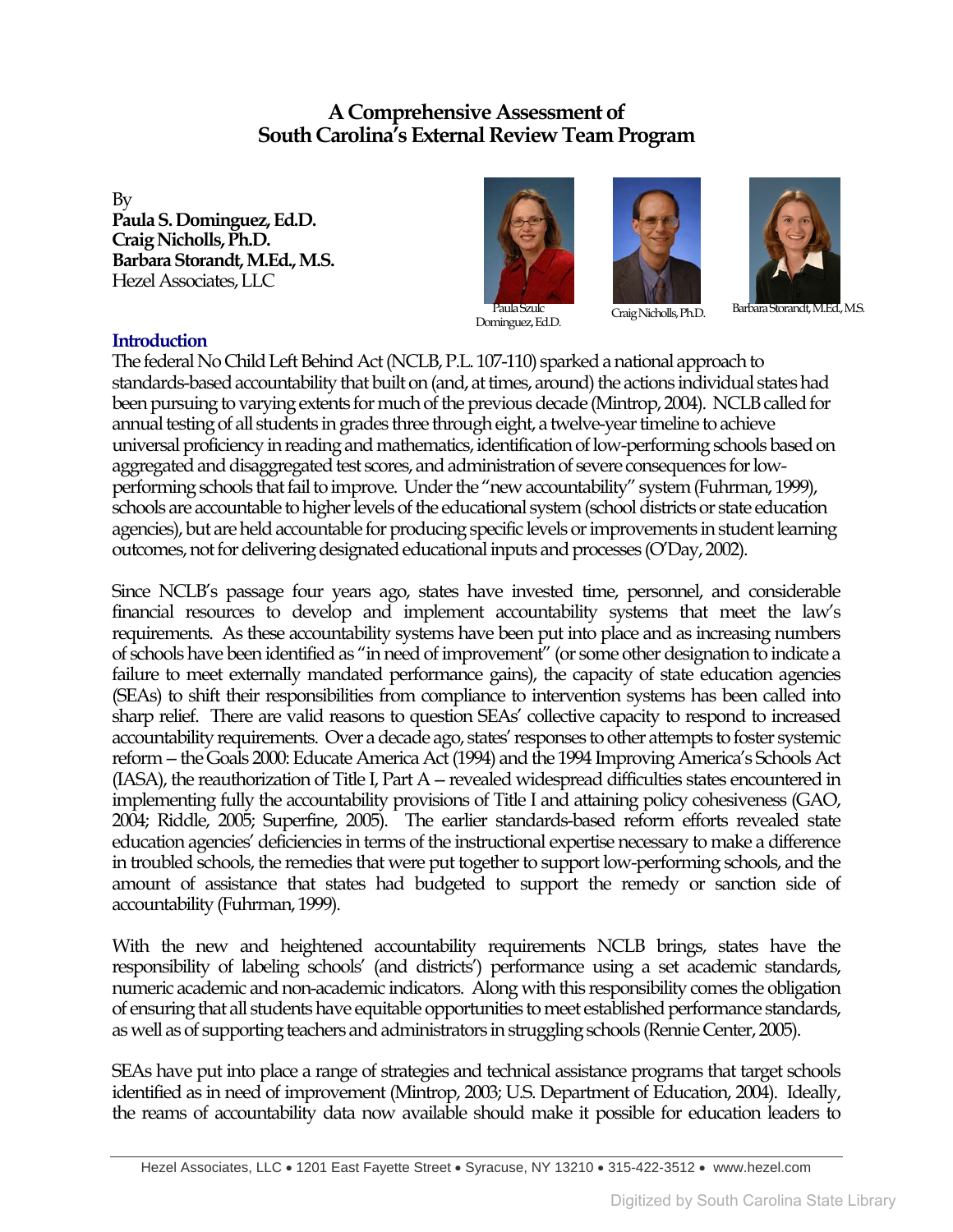# **A Comprehensive Assessment of South Carolina's External Review Team Program**

By **Paula S. Dominguez, Ed.D. Craig Nicholls, Ph.D. Barbara Storandt, M.Ed., M.S.**  Hezel Associates, LLC











Dominguez, Ed.D. Craig Nicholls, Ph.D. Barbara Storandt, M.Ed., M.S.

### **Introduction**

The federal No Child Left Behind Act (NCLB, P.L. 107-110) sparked a national approach to standards-based accountability that built on (and, at times, around) the actions individual states had been pursuing to varying extents for much of the previous decade (Mintrop, 2004). NCLB called for annual testing of all students in grades three through eight, a twelve-year timeline to achieve universal proficiency in reading and mathematics, identification of low-performing schools based on aggregated and disaggregated test scores, and administration of severe consequences for lowperforming schools that fail to improve. Under the "new accountability" system (Fuhrman, 1999), schools are accountable to higher levels of the educational system (school districts or state education agencies), but are held accountable for producing specific levels or improvements in student learning outcomes, not for delivering designated educational inputs and processes (O'Day, 2002).

Since NCLB's passage four years ago, states have invested time, personnel, and considerable financial resources to develop and implement accountability systems that meet the law's requirements. As these accountability systems have been put into place and as increasing numbers of schools have been identified as "in need of improvement" (or some other designation to indicate a failure to meet externally mandated performance gains), the capacity of state education agencies (SEAs) to shift their responsibilities from compliance to intervention systems has been called into sharp relief. There are valid reasons to question SEAs' collective capacity to respond to increased accountability requirements. Over a decade ago, states' responses to other attempts to foster systemic reform -- the Goals 2000: Educate America Act (1994) and the 1994 Improving America's Schools Act (IASA), the reauthorization of Title I, Part A - revealed widespread difficulties states encountered in implementing fully the accountability provisions of Title I and attaining policy cohesiveness (GAO, 2004; Riddle, 2005; Superfine, 2005). The earlier standards-based reform efforts revealed state education agencies' deficiencies in terms of the instructional expertise necessary to make a difference in troubled schools, the remedies that were put together to support low-performing schools, and the amount of assistance that states had budgeted to support the remedy or sanction side of accountability (Fuhrman, 1999).

With the new and heightened accountability requirements NCLB brings, states have the responsibility of labeling schools' (and districts') performance using a set academic standards, numeric academic and non-academic indicators. Along with this responsibility comes the obligation of ensuring that all students have equitable opportunities to meet established performance standards, as well as of supporting teachers and administrators in struggling schools (Rennie Center, 2005).

SEAs have put into place a range of strategies and technical assistance programs that target schools identified as in need of improvement (Mintrop, 2003; U.S. Department of Education, 2004). Ideally, the reams of accountability data now available should make it possible for education leaders to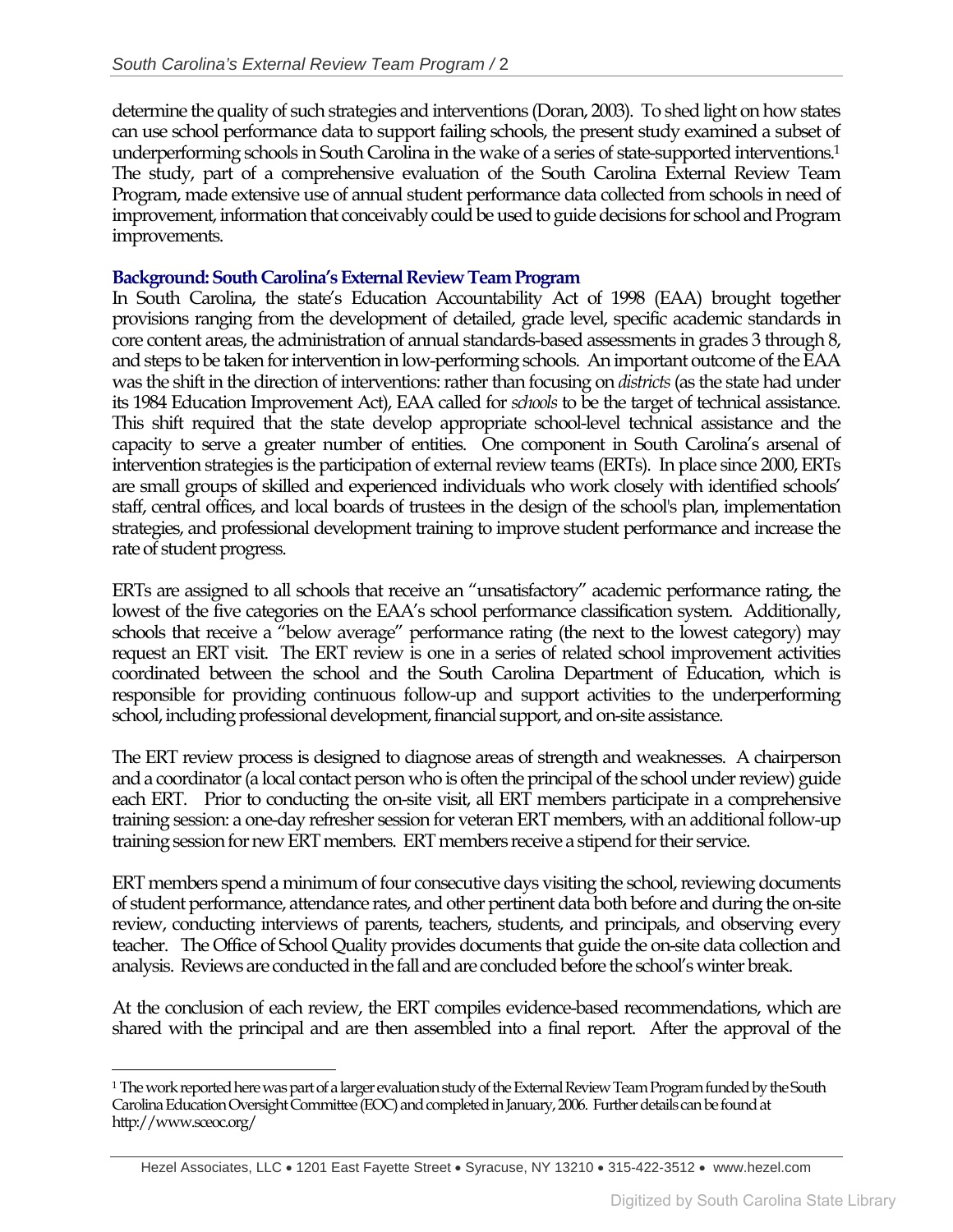determine the quality of such strategies and interventions (Doran, 2003). To shed light on how states can use school performance data to support failing schools, the present study examined a subset of underperforming schools in South Carolina in the wake of a series of state-supported interventions.1 The study, part of a comprehensive evaluation of the South Carolina External Review Team Program, made extensive use of annual student performance data collected from schools in need of improvement, information that conceivably could be used to guide decisions for school and Program improvements.

#### **Background: South Carolina's External Review Team Program**

In South Carolina, the state's Education Accountability Act of 1998 (EAA) brought together provisions ranging from the development of detailed, grade level, specific academic standards in core content areas, the administration of annual standards-based assessments in grades 3 through 8, and steps to be taken for intervention in low-performing schools. An important outcome of the EAA was the shift in the direction of interventions: rather than focusing on *districts* (as the state had under its 1984 Education Improvement Act), EAA called for *schools* to be the target of technical assistance. This shift required that the state develop appropriate school-level technical assistance and the capacity to serve a greater number of entities. One component in South Carolina's arsenal of intervention strategies is the participation of external review teams (ERTs). In place since 2000, ERTs are small groups of skilled and experienced individuals who work closely with identified schools' staff, central offices, and local boards of trustees in the design of the school's plan, implementation strategies, and professional development training to improve student performance and increase the rate of student progress.

ERTs are assigned to all schools that receive an "unsatisfactory" academic performance rating, the lowest of the five categories on the EAA's school performance classification system. Additionally, schools that receive a "below average" performance rating (the next to the lowest category) may request an ERT visit. The ERT review is one in a series of related school improvement activities coordinated between the school and the South Carolina Department of Education, which is responsible for providing continuous follow-up and support activities to the underperforming school, including professional development, financial support, and on-site assistance.

The ERT review process is designed to diagnose areas of strength and weaknesses. A chairperson and a coordinator (a local contact person who is often the principal of the school under review) guide each ERT. Prior to conducting the on-site visit, all ERT members participate in a comprehensive training session: a one-day refresher session for veteran ERT members, with an additional follow-up training session for new ERT members. ERT members receive a stipend for their service.

ERT members spend a minimum of four consecutive days visiting the school, reviewing documents of student performance, attendance rates, and other pertinent data both before and during the on-site review, conducting interviews of parents, teachers, students, and principals, and observing every teacher. The Office of School Quality provides documents that guide the on-site data collection and analysis. Reviews are conducted in the fall and are concluded before the school's winter break.

At the conclusion of each review, the ERT compiles evidence-based recommendations, which are shared with the principal and are then assembled into a final report. After the approval of the

 $\overline{a}$ 1 The work reported here was part of a larger evaluation study of the External Review Team Program funded by the South Carolina Education Oversight Committee (EOC) and completed in January, 2006. Further details can be found at http://www.sceoc.org/

Hezel Associates, LLC • 1201 East Fayette Street • Syracuse, NY 13210 • 315-422-3512 • www.hezel.com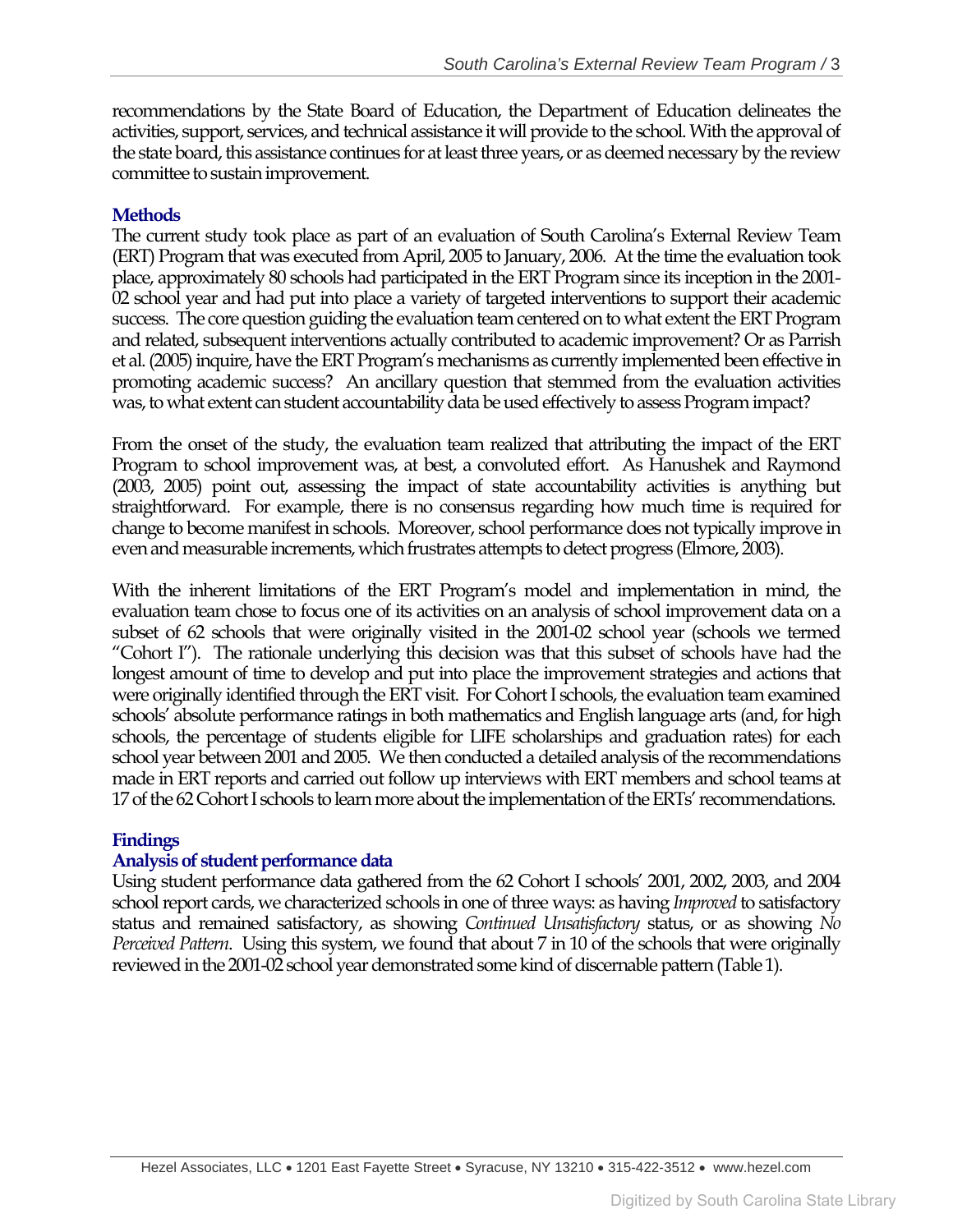recommendations by the State Board of Education, the Department of Education delineates the activities, support, services, and technical assistance it will provide to the school. With the approval of the state board, this assistance continues for at least three years, or as deemed necessary by the review committee to sustain improvement.

### **Methods**

The current study took place as part of an evaluation of South Carolina's External Review Team (ERT) Program that was executed from April, 2005 to January, 2006. At the time the evaluation took place, approximately 80 schools had participated in the ERT Program since its inception in the 2001- 02 school year and had put into place a variety of targeted interventions to support their academic success. The core question guiding the evaluation team centered on to what extent the ERT Program and related, subsequent interventions actually contributed to academic improvement? Or as Parrish et al. (2005) inquire, have the ERT Program's mechanisms as currently implemented been effective in promoting academic success? An ancillary question that stemmed from the evaluation activities was, to what extent can student accountability data be used effectively to assess Program impact?

From the onset of the study, the evaluation team realized that attributing the impact of the ERT Program to school improvement was, at best, a convoluted effort. As Hanushek and Raymond (2003, 2005) point out, assessing the impact of state accountability activities is anything but straightforward. For example, there is no consensus regarding how much time is required for change to become manifest in schools. Moreover, school performance does not typically improve in even and measurable increments, which frustrates attempts to detect progress (Elmore, 2003).

With the inherent limitations of the ERT Program's model and implementation in mind, the evaluation team chose to focus one of its activities on an analysis of school improvement data on a subset of 62 schools that were originally visited in the 2001-02 school year (schools we termed "Cohort I"). The rationale underlying this decision was that this subset of schools have had the longest amount of time to develop and put into place the improvement strategies and actions that were originally identified through the ERT visit. For Cohort I schools, the evaluation team examined schools' absolute performance ratings in both mathematics and English language arts (and, for high schools, the percentage of students eligible for LIFE scholarships and graduation rates) for each school year between 2001 and 2005. We then conducted a detailed analysis of the recommendations made in ERT reports and carried out follow up interviews with ERT members and school teams at 17 of the 62 Cohort I schools to learn more about the implementation of the ERTs' recommendations.

### **Findings**

## **Analysis of student performance data**

Using student performance data gathered from the 62 Cohort I schools' 2001, 2002, 2003, and 2004 school report cards, we characterized schools in one of three ways: as having *Improved* to satisfactory status and remained satisfactory, as showing *Continued Unsatisfactory* status, or as showing *No Perceived Pattern*. Using this system, we found that about 7 in 10 of the schools that were originally reviewed in the 2001-02 school year demonstrated some kind of discernable pattern (Table 1).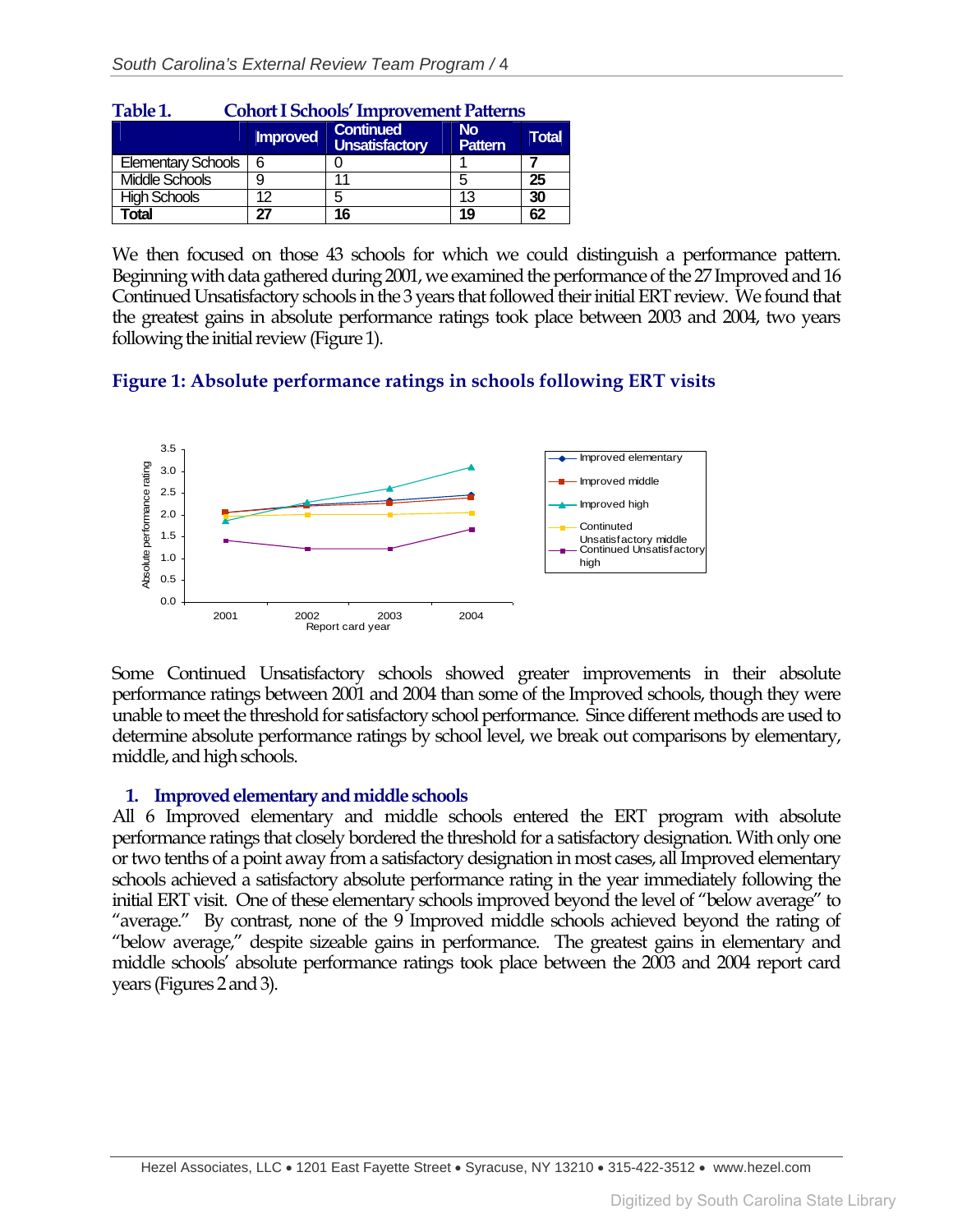| Table 1.                  | <b>Cohort I Schools' Improvement Patterns</b> |                                           |               |              |  |  |  |  |
|---------------------------|-----------------------------------------------|-------------------------------------------|---------------|--------------|--|--|--|--|
|                           | <b>Improved</b>                               | <b>Continued</b><br><b>Unsatisfactory</b> | No<br>Pattern | <b>Total</b> |  |  |  |  |
| <b>Elementary Schools</b> | 6                                             |                                           |               |              |  |  |  |  |
| Middle Schools            | 9                                             |                                           |               | 25           |  |  |  |  |
| <b>High Schools</b>       | 12                                            | 5                                         | 13            | 30           |  |  |  |  |
| <b>Total</b>              | 27                                            | 16                                        | 19            | 62           |  |  |  |  |

We then focused on those 43 schools for which we could distinguish a performance pattern. Beginning with data gathered during 2001, we examined the performance of the 27 Improved and 16 Continued Unsatisfactory schools in the 3 years that followed their initial ERT review. We found that the greatest gains in absolute performance ratings took place between 2003 and 2004, two years following the initial review (Figure 1).

**Figure 1: Absolute performance ratings in schools following ERT visits** 



Some Continued Unsatisfactory schools showed greater improvements in their absolute performance ratings between 2001 and 2004 than some of the Improved schools, though they were unable to meet the threshold for satisfactory school performance. Since different methods are used to determine absolute performance ratings by school level, we break out comparisons by elementary, middle, and high schools.

## **1. Improved elementary and middle schools**

All 6 Improved elementary and middle schools entered the ERT program with absolute performance ratings that closely bordered the threshold for a satisfactory designation. With only one or two tenths of a point away from a satisfactory designation in most cases, all Improved elementary schools achieved a satisfactory absolute performance rating in the year immediately following the initial ERT visit. One of these elementary schools improved beyond the level of "below average" to "average." By contrast, none of the 9 Improved middle schools achieved beyond the rating of "below average," despite sizeable gains in performance. The greatest gains in elementary and middle schools' absolute performance ratings took place between the 2003 and 2004 report card years (Figures 2 and 3).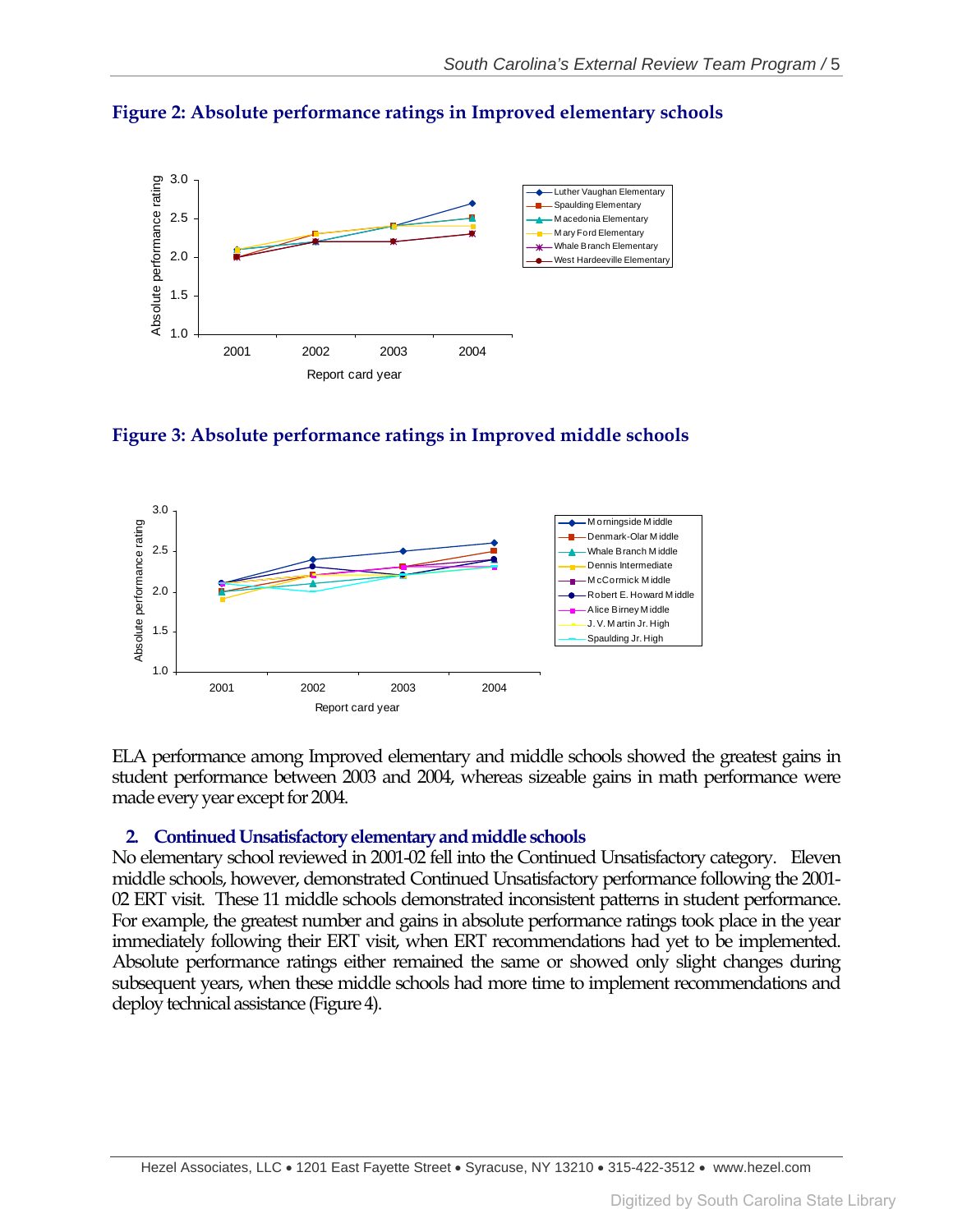

**Figure 2: Absolute performance ratings in Improved elementary schools** 

**Figure 3: Absolute performance ratings in Improved middle schools** 



ELA performance among Improved elementary and middle schools showed the greatest gains in student performance between 2003 and 2004, whereas sizeable gains in math performance were made every year except for 2004.

### **2. Continued Unsatisfactory elementary and middle schools**

No elementary school reviewed in 2001-02 fell into the Continued Unsatisfactory category. Eleven middle schools, however, demonstrated Continued Unsatisfactory performance following the 2001- 02 ERT visit. These 11 middle schools demonstrated inconsistent patterns in student performance. For example, the greatest number and gains in absolute performance ratings took place in the year immediately following their ERT visit, when ERT recommendations had yet to be implemented. Absolute performance ratings either remained the same or showed only slight changes during subsequent years, when these middle schools had more time to implement recommendations and deploy technical assistance (Figure 4).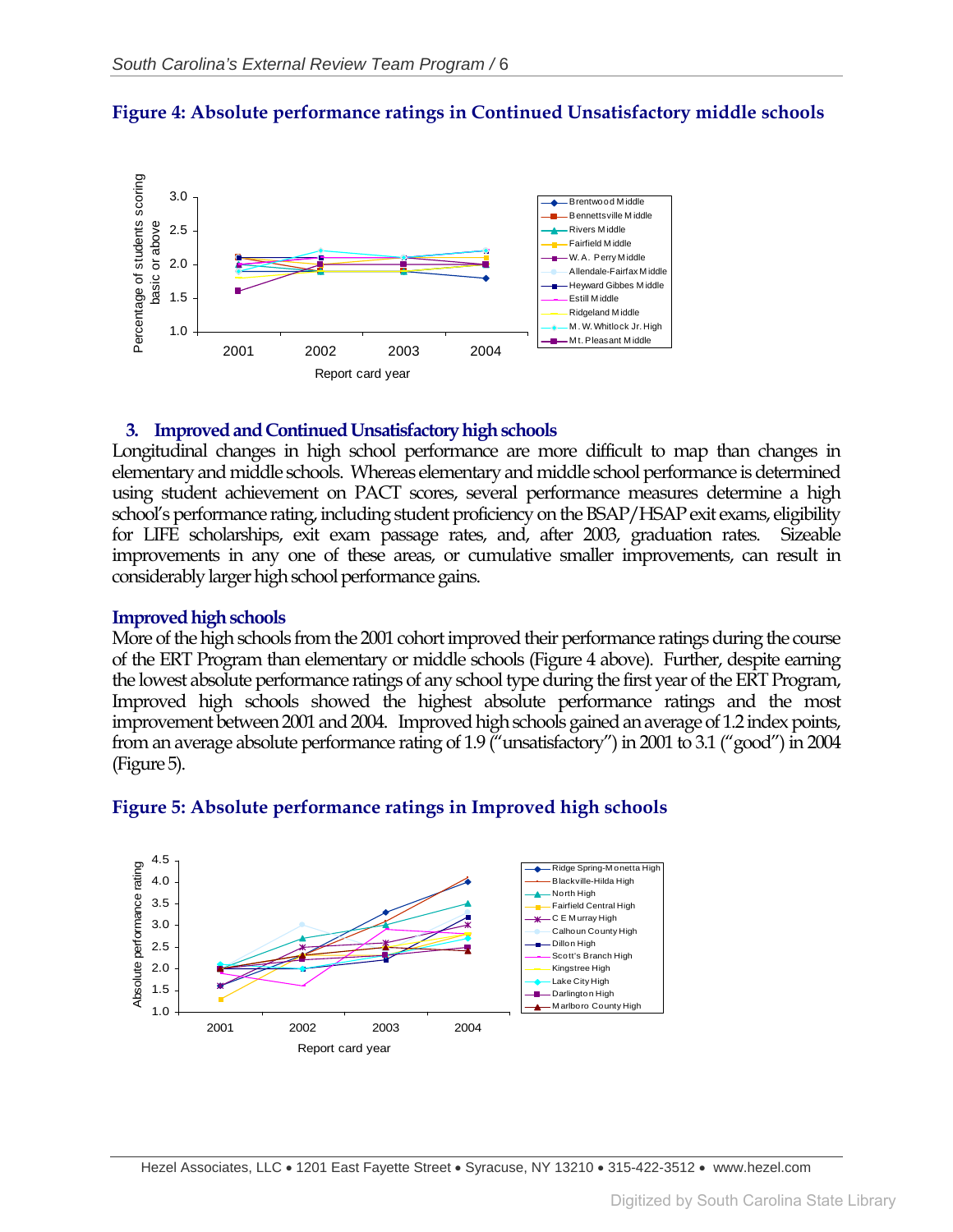

### **Figure 4: Absolute performance ratings in Continued Unsatisfactory middle schools**

#### **3. Improved and Continued Unsatisfactory high schools**

Longitudinal changes in high school performance are more difficult to map than changes in elementary and middle schools. Whereas elementary and middle school performance is determined using student achievement on PACT scores, several performance measures determine a high school's performance rating, including student proficiency on the BSAP/HSAP exit exams, eligibility for LIFE scholarships, exit exam passage rates, and, after 2003, graduation rates. Sizeable improvements in any one of these areas, or cumulative smaller improvements, can result in considerably larger high school performance gains.

#### **Improved high schools**

More of the high schools from the 2001 cohort improved their performance ratings during the course of the ERT Program than elementary or middle schools (Figure 4 above). Further, despite earning the lowest absolute performance ratings of any school type during the first year of the ERT Program, Improved high schools showed the highest absolute performance ratings and the most improvement between 2001 and 2004. Improved high schools gained an average of 1.2 index points, from an average absolute performance rating of 1.9 ("unsatisfactory") in 2001 to 3.1 ("good") in 2004 (Figure 5).



### **Figure 5: Absolute performance ratings in Improved high schools**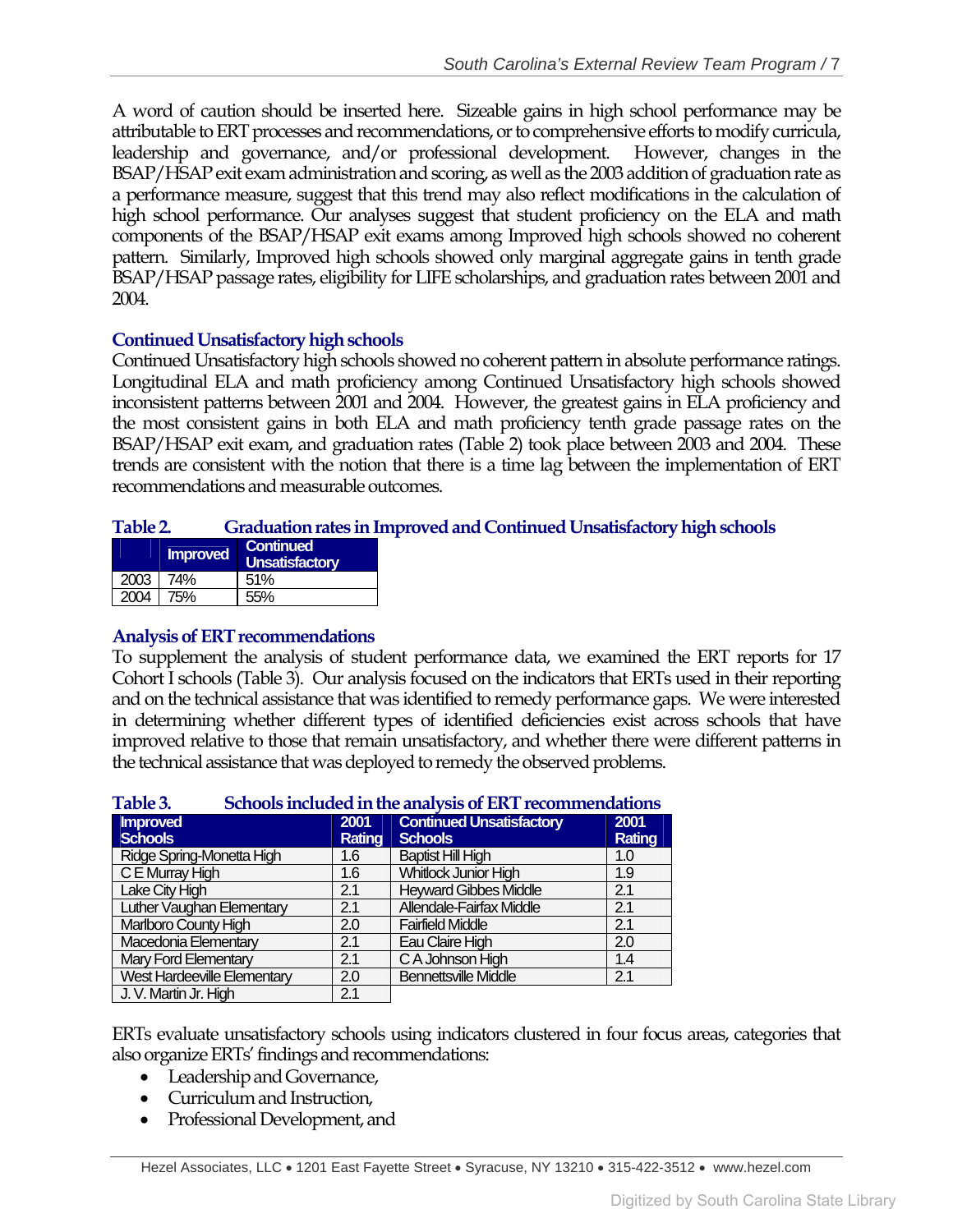A word of caution should be inserted here. Sizeable gains in high school performance may be attributable to ERT processes and recommendations, or to comprehensive efforts to modify curricula, leadership and governance, and/or professional development. However, changes in the BSAP/HSAP exit exam administration and scoring, as well as the 2003 addition of graduation rate as a performance measure, suggest that this trend may also reflect modifications in the calculation of high school performance. Our analyses suggest that student proficiency on the ELA and math components of the BSAP/HSAP exit exams among Improved high schools showed no coherent pattern. Similarly, Improved high schools showed only marginal aggregate gains in tenth grade BSAP/HSAP passage rates, eligibility for LIFE scholarships, and graduation rates between 2001 and 2004.

### **Continued Unsatisfactory high schools**

Continued Unsatisfactory high schools showed no coherent pattern in absolute performance ratings. Longitudinal ELA and math proficiency among Continued Unsatisfactory high schools showed inconsistent patterns between 2001 and 2004. However, the greatest gains in ELA proficiency and the most consistent gains in both ELA and math proficiency tenth grade passage rates on the BSAP/HSAP exit exam, and graduation rates (Table 2) took place between 2003 and 2004. These trends are consistent with the notion that there is a time lag between the implementation of ERT recommendations and measurable outcomes.

| Table 2. |            |                                      | Graduation rates in Improved and Continued Unsatisfactory high schools |
|----------|------------|--------------------------------------|------------------------------------------------------------------------|
|          |            | Continued<br>Improved Unsatisfactory |                                                                        |
| 2003     | <b>74%</b> | 51%                                  |                                                                        |
| 2004     | 75%        | 55%                                  |                                                                        |

### **Analysis of ERT recommendations**

To supplement the analysis of student performance data, we examined the ERT reports for 17 Cohort I schools (Table 3). Our analysis focused on the indicators that ERTs used in their reporting and on the technical assistance that was identified to remedy performance gaps. We were interested in determining whether different types of identified deficiencies exist across schools that have improved relative to those that remain unsatisfactory, and whether there were different patterns in the technical assistance that was deployed to remedy the observed problems.

| Table 3.<br>Schools included in the analysis of ERT recommendations |                |                                                   |                       |  |  |  |  |  |  |
|---------------------------------------------------------------------|----------------|---------------------------------------------------|-----------------------|--|--|--|--|--|--|
| <b>Improved</b><br><b>Schools</b>                                   | 2001<br>Rating | <b>Continued Unsatisfactory</b><br><b>Schools</b> | 2001<br><b>Rating</b> |  |  |  |  |  |  |
| Ridge Spring-Monetta High                                           | 1.6            | <b>Baptist Hill High</b>                          | 1.0                   |  |  |  |  |  |  |
| C E Murray High                                                     | 1.6            | <b>Whitlock Junior High</b>                       | 1.9                   |  |  |  |  |  |  |
| Lake City High                                                      | 2.1            | <b>Heyward Gibbes Middle</b>                      | 2.1                   |  |  |  |  |  |  |
| Luther Vaughan Elementary                                           | 2.1            | Allendale-Fairfax Middle                          | 2.1                   |  |  |  |  |  |  |
| Marlboro County High                                                | 2.0            | <b>Fairfield Middle</b>                           | 2.1                   |  |  |  |  |  |  |
| Macedonia Elementary                                                | 2.1            | Eau Claire High                                   | 2.0                   |  |  |  |  |  |  |
| <b>Mary Ford Elementary</b>                                         | 2.1            | C A Johnson High                                  | 1.4                   |  |  |  |  |  |  |
| West Hardeeville Elementary                                         | 2.0            | <b>Bennettsville Middle</b>                       | 2.1                   |  |  |  |  |  |  |
| J. V. Martin Jr. High                                               | 2.1            |                                                   |                       |  |  |  |  |  |  |

## **Table 3. Schools included in the analysis of ERT recommendations**

ERTs evaluate unsatisfactory schools using indicators clustered in four focus areas, categories that also organize ERTs' findings and recommendations:

- Leadership and Governance,
- Curriculum and Instruction,
- Professional Development, and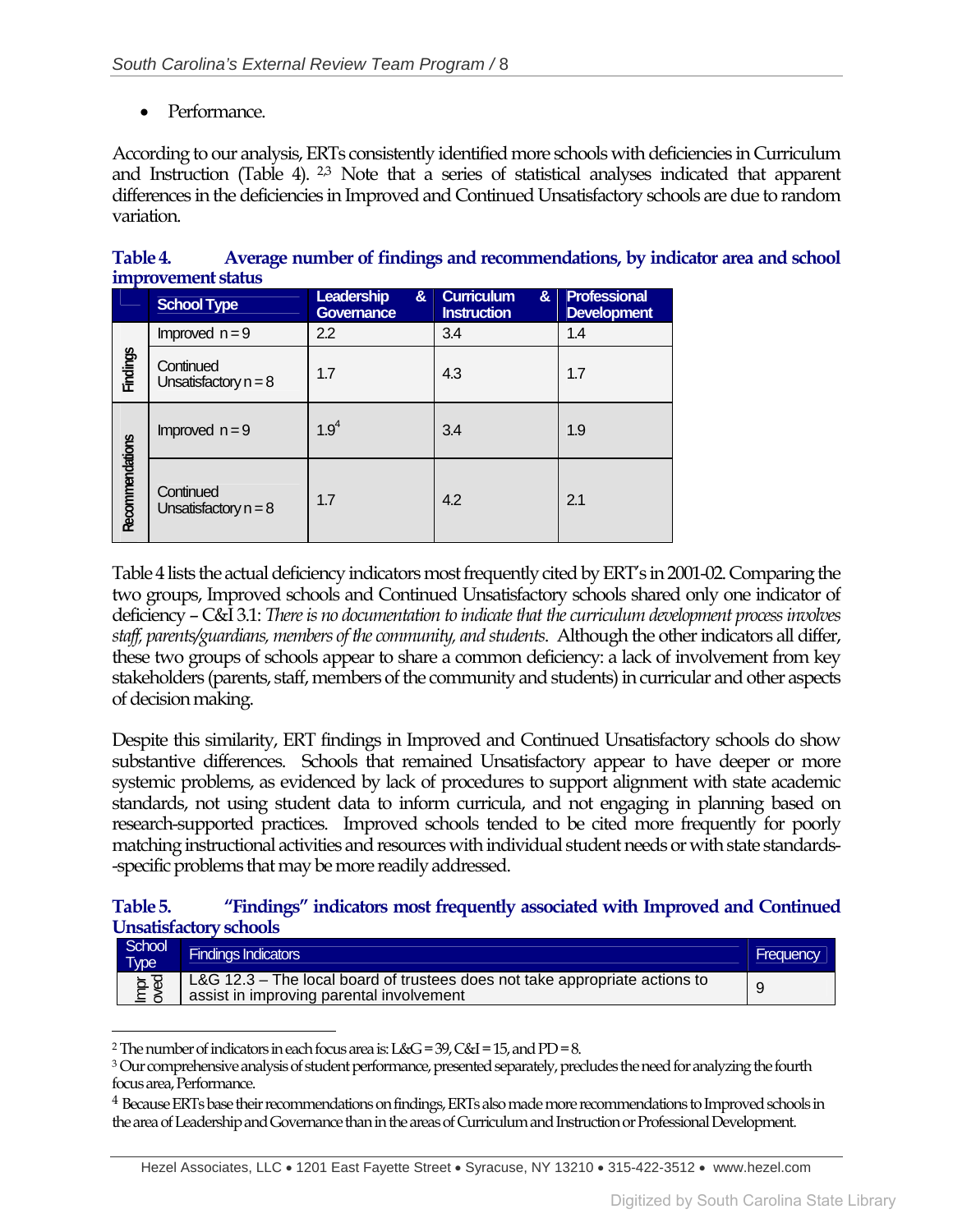• Performance.

According to our analysis, ERTs consistently identified more schools with deficiencies in Curriculum and Instruction (Table 4).  $23$  Note that a series of statistical analyses indicated that apparent differences in the deficiencies in Improved and Continued Unsatisfactory schools are due to random variation.

| Table 4.           | Average number of findings and recommendations, by indicator area and school |
|--------------------|------------------------------------------------------------------------------|
| improvement status |                                                                              |

|                 | <b>School Type</b>                  | Leadership<br>&<br><b>Governance</b> | <b>Curriculum</b><br>&<br><b>Instruction</b> | Professional<br><b>Development</b> |  |  |
|-----------------|-------------------------------------|--------------------------------------|----------------------------------------------|------------------------------------|--|--|
|                 | Improved $n = 9$                    | 2.2                                  | 3.4                                          | 1.4                                |  |  |
| Findings        | Continued<br>Unsatisfactory $n = 8$ | 1.7                                  | 4.3                                          | 1.7                                |  |  |
| Recommendations | Improved $n = 9$                    | $1.9^{4}$                            | 3.4                                          | 1.9                                |  |  |
|                 | Continued<br>Unsatisfactory $n = 8$ | 1.7                                  | 4.2                                          | 2.1                                |  |  |

Table 4 lists the actual deficiency indicators most frequently cited by ERT's in 2001-02. Comparing the two groups, Improved schools and Continued Unsatisfactory schools shared only one indicator of deficiency – C&I 3.1: *There is no documentation to indicate that the curriculum development process involves staff, parents/guardians, members of the community, and students*. Although the other indicators all differ, these two groups of schools appear to share a common deficiency: a lack of involvement from key stakeholders (parents, staff, members of the community and students) in curricular and other aspects of decision making.

Despite this similarity, ERT findings in Improved and Continued Unsatisfactory schools do show substantive differences. Schools that remained Unsatisfactory appear to have deeper or more systemic problems, as evidenced by lack of procedures to support alignment with state academic standards, not using student data to inform curricula, and not engaging in planning based on research-supported practices. Improved schools tended to be cited more frequently for poorly matching instructional activities and resources with individual student needs or with state standards- -specific problems that may be more readily addressed.

### **Table 5. "Findings" indicators most frequently associated with Improved and Continued Unsatisfactory schools**

| School<br><b>Type</b> | <b>Findings Indicators</b>                                                                                              | Frequency |
|-----------------------|-------------------------------------------------------------------------------------------------------------------------|-----------|
| lmpr<br>oved          | L&G 12.3 – The local board of trustees does not take appropriate actions to<br>assist in improving parental involvement |           |

 $\overline{a}$ <sup>2</sup> The number of indicators in each focus area is: L&G =  $39$ , C&I =  $15$ , and PD =  $8$ .

<sup>3</sup> Our comprehensive analysis of student performance, presented separately, precludes the need for analyzing the fourth focus area, Performance.

<sup>4</sup> Because ERTs base their recommendations on findings, ERTs also made more recommendations to Improved schools in the area of Leadership and Governance than in the areas of Curriculum and Instruction or Professional Development.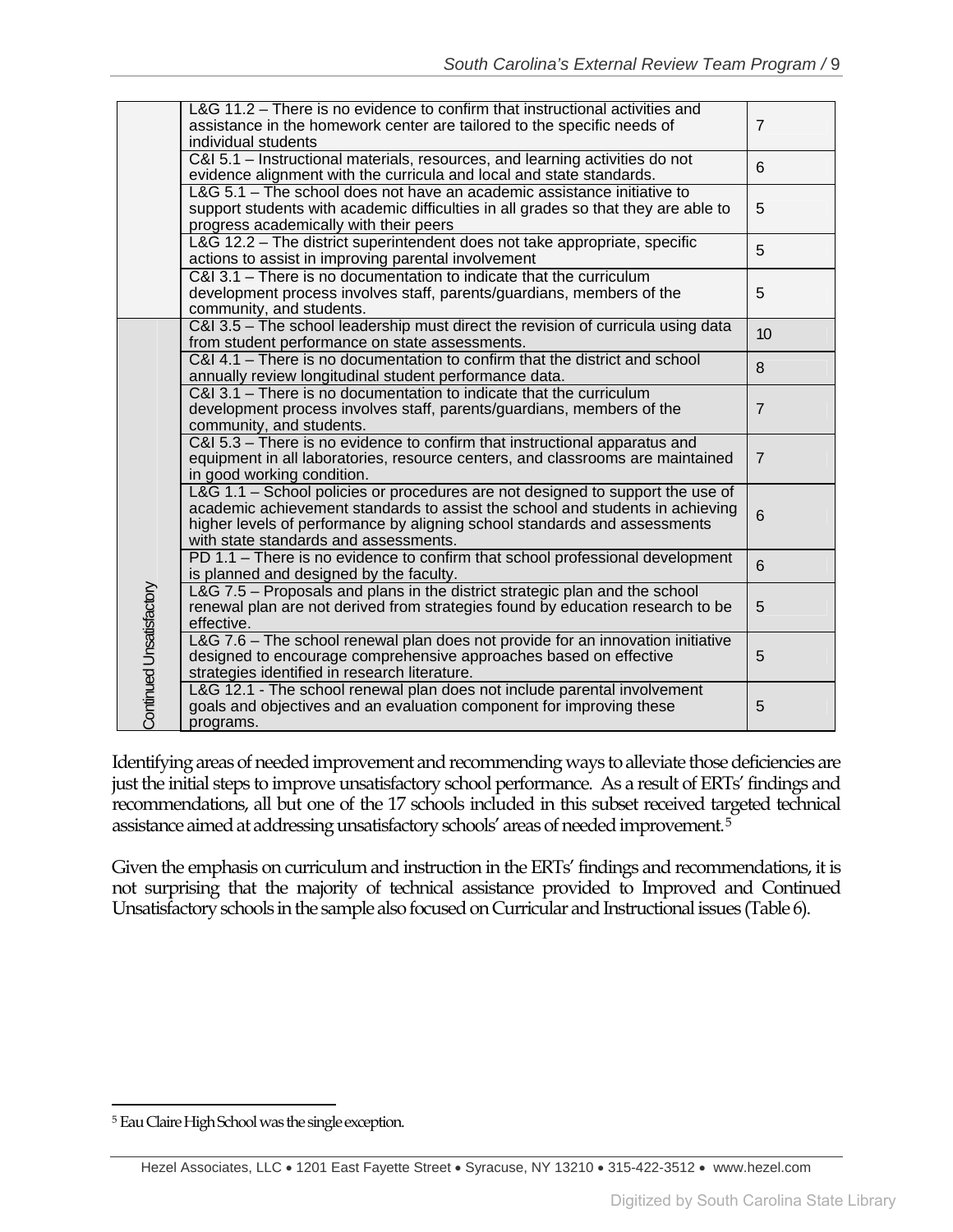|                          | L&G 11.2 – There is no evidence to confirm that instructional activities and<br>assistance in the homework center are tailored to the specific needs of<br>individual students                                                                                                        | $\overline{7}$ |  |  |  |  |  |  |
|--------------------------|---------------------------------------------------------------------------------------------------------------------------------------------------------------------------------------------------------------------------------------------------------------------------------------|----------------|--|--|--|--|--|--|
|                          | C&I 5.1 - Instructional materials, resources, and learning activities do not<br>6<br>evidence alignment with the curricula and local and state standards.                                                                                                                             |                |  |  |  |  |  |  |
|                          | L&G 5.1 – The school does not have an academic assistance initiative to<br>support students with academic difficulties in all grades so that they are able to<br>progress academically with their peers                                                                               | 5              |  |  |  |  |  |  |
|                          | L&G 12.2 - The district superintendent does not take appropriate, specific<br>actions to assist in improving parental involvement                                                                                                                                                     | 5              |  |  |  |  |  |  |
|                          | C&I 3.1 - There is no documentation to indicate that the curriculum<br>development process involves staff, parents/guardians, members of the<br>community, and students.                                                                                                              | 5              |  |  |  |  |  |  |
|                          | C&I 3.5 - The school leadership must direct the revision of curricula using data<br>10<br>from student performance on state assessments.                                                                                                                                              |                |  |  |  |  |  |  |
|                          | C&I 4.1 - There is no documentation to confirm that the district and school<br>annually review longitudinal student performance data.                                                                                                                                                 |                |  |  |  |  |  |  |
|                          | C&I 3.1 - There is no documentation to indicate that the curriculum<br>development process involves staff, parents/guardians, members of the<br>community, and students.                                                                                                              |                |  |  |  |  |  |  |
|                          | C&I 5.3 – There is no evidence to confirm that instructional apparatus and<br>equipment in all laboratories, resource centers, and classrooms are maintained<br>in good working condition.                                                                                            |                |  |  |  |  |  |  |
|                          | L&G 1.1 - School policies or procedures are not designed to support the use of<br>academic achievement standards to assist the school and students in achieving<br>higher levels of performance by aligning school standards and assessments<br>with state standards and assessments. | 6              |  |  |  |  |  |  |
|                          | PD 1.1 - There is no evidence to confirm that school professional development<br>is planned and designed by the faculty.                                                                                                                                                              |                |  |  |  |  |  |  |
| Continued Unsatisfactory | L&G 7.5 - Proposals and plans in the district strategic plan and the school<br>renewal plan are not derived from strategies found by education research to be<br>effective.                                                                                                           |                |  |  |  |  |  |  |
|                          | L&G 7.6 - The school renewal plan does not provide for an innovation initiative<br>designed to encourage comprehensive approaches based on effective<br>strategies identified in research literature.                                                                                 |                |  |  |  |  |  |  |
|                          | L&G 12.1 - The school renewal plan does not include parental involvement<br>goals and objectives and an evaluation component for improving these<br>programs.                                                                                                                         | 5              |  |  |  |  |  |  |

Identifying areas of needed improvement and recommending ways to alleviate those deficiencies are just the initial steps to improve unsatisfactory school performance. As a result of ERTs' findings and recommendations, all but one of the 17 schools included in this subset received targeted technical assistance aimed at addressing unsatisfactory schools' areas of needed improvement. 5

Given the emphasis on curriculum and instruction in the ERTs' findings and recommendations, it is not surprising that the majority of technical assistance provided to Improved and Continued Unsatisfactory schools in the sample also focused on Curricular and Instructional issues (Table 6).

 $\overline{a}$ 

<sup>5</sup> Eau Claire High School was the single exception.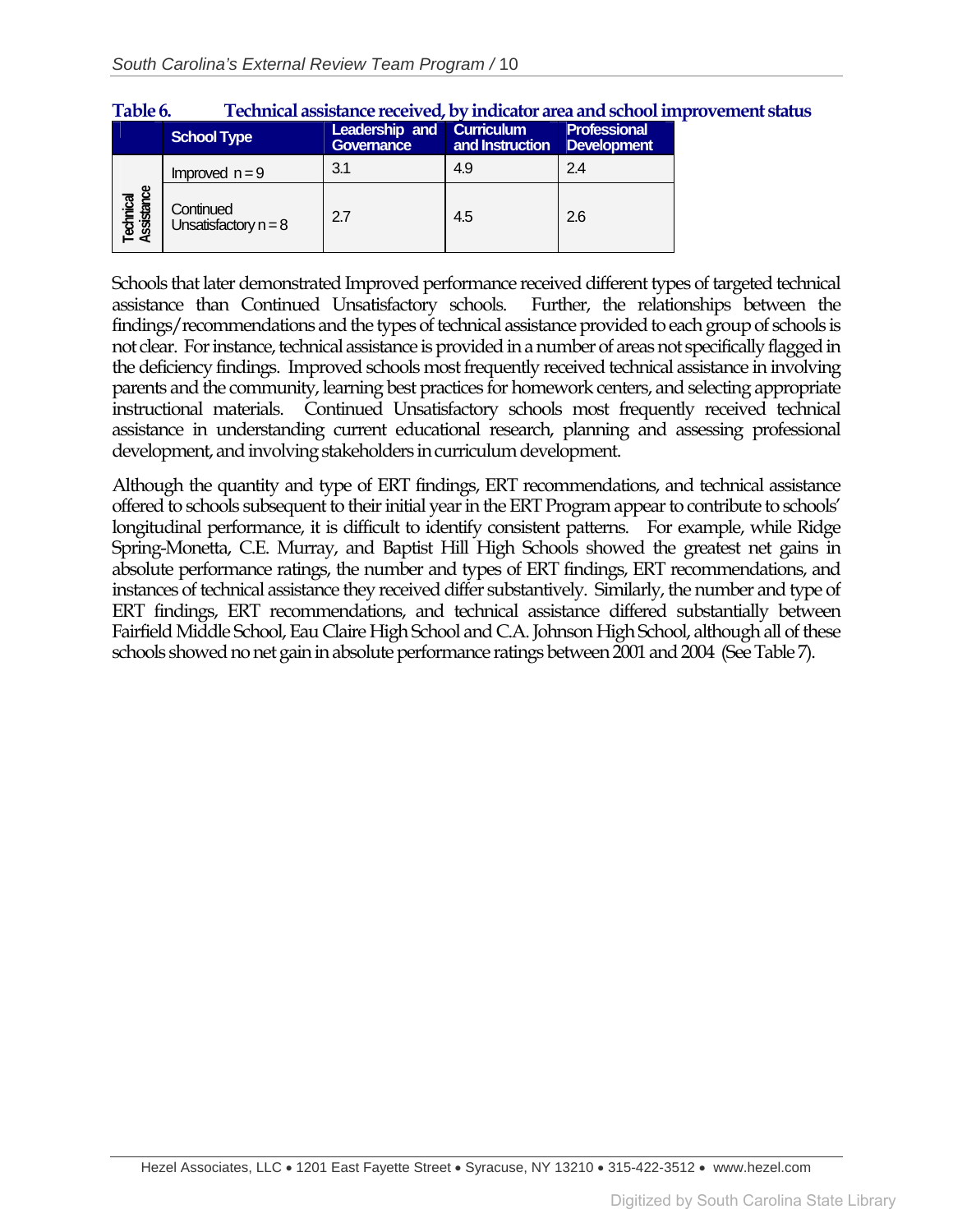|                         | <b>School Type</b>                  | Leadership and Curriculum<br>Governance | and Instruction | <b>Professional</b><br><b>Development</b> |  |  |
|-------------------------|-------------------------------------|-----------------------------------------|-----------------|-------------------------------------------|--|--|
|                         | Improved $n = 9$                    | 3.1                                     | 4.9             | 2.4                                       |  |  |
| Technical<br>Assistance | Continued<br>Unsatisfactory $n = 8$ | 2.7                                     | 4.5             | 2.6                                       |  |  |

| Table 6. |  |  | Technical assistance received, by indicator area and school improvement status |
|----------|--|--|--------------------------------------------------------------------------------|
|----------|--|--|--------------------------------------------------------------------------------|

Schools that later demonstrated Improved performance received different types of targeted technical assistance than Continued Unsatisfactory schools. Further, the relationships between the findings/recommendations and the types of technical assistance provided to each group of schools is not clear. For instance, technical assistance is provided in a number of areas not specifically flagged in the deficiency findings. Improved schools most frequently received technical assistance in involving parents and the community, learning best practices for homework centers, and selecting appropriate instructional materials. Continued Unsatisfactory schools most frequently received technical assistance in understanding current educational research, planning and assessing professional development, and involving stakeholders in curriculum development.

Although the quantity and type of ERT findings, ERT recommendations, and technical assistance offered to schools subsequent to their initial year in the ERT Program appear to contribute to schools' longitudinal performance, it is difficult to identify consistent patterns. For example, while Ridge Spring-Monetta, C.E. Murray, and Baptist Hill High Schools showed the greatest net gains in absolute performance ratings, the number and types of ERT findings, ERT recommendations, and instances of technical assistance they received differ substantively. Similarly, the number and type of ERT findings, ERT recommendations, and technical assistance differed substantially between Fairfield Middle School, Eau Claire High School and C.A. Johnson High School, although all of these schools showed no net gain in absolute performance ratings between 2001 and 2004 (See Table 7).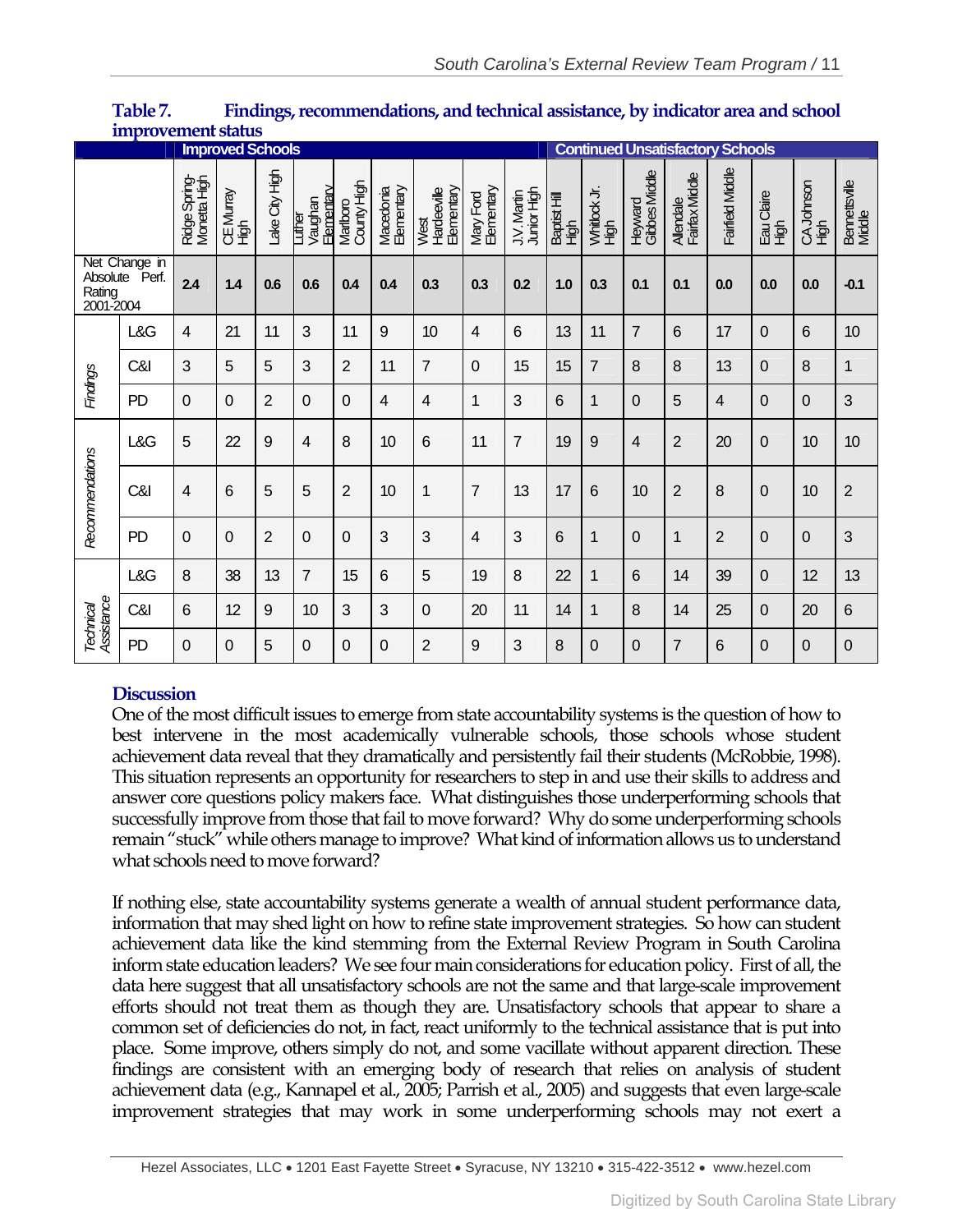|                                 | <b>Improvement status</b> |                               |                                                                    |                  |                                 |                        |                         |                                   |                         |                            |                         |                               |                          |                             |                         |                    |                   |                         |
|---------------------------------|---------------------------|-------------------------------|--------------------------------------------------------------------|------------------|---------------------------------|------------------------|-------------------------|-----------------------------------|-------------------------|----------------------------|-------------------------|-------------------------------|--------------------------|-----------------------------|-------------------------|--------------------|-------------------|-------------------------|
|                                 |                           |                               | <b>Improved Schools</b><br><b>Continued Unsatisfactory Schools</b> |                  |                                 |                        |                         |                                   |                         |                            |                         |                               |                          |                             |                         |                    |                   |                         |
|                                 |                           | Ridge Spring-<br>Monetta High | CEMurray<br>High                                                   | Lake City High   | Elementary<br>Vaughan<br>Luther | County High<br>Marboro | Elementary<br>Macedonia | Elementary<br>Hardeeville<br>West | Mary Ford<br>Elementary | Junior High<br>J.V. Martin | Baptist Hill<br>)<br>대한 | Whitlock Jr.<br>という<br>上<br>二 | Heyward<br>Gibbes Middle | Allendale<br>Fairfax Middle | Fairfield Middle        | Eau Claire<br>High | CAJohnson<br>High | Bennettsville<br>Middle |
| Absolute<br>Rating<br>2001-2004 | Net Change in<br>Perf.    | 2.4                           | 1.4                                                                | 0.6              | 0.6                             | 0.4                    | 0.4                     | 0.3                               | 0.3                     | 0.2                        | 1.0                     | 0.3                           | 0.1                      | 0.1                         | 0.0                     | 0.0                | 0.0               | $-0.1$                  |
|                                 | L&G                       | 4                             | 21                                                                 | 11               | 3                               | 11                     | 9                       | 10                                | 4                       | 6                          | 13                      | 11                            | $\overline{7}$           | 6                           | 17                      | $\mathbf 0$        | 6                 | 10                      |
|                                 | C&I                       | 3                             | 5                                                                  | 5                | 3                               | $\overline{2}$         | 11                      | $\overline{7}$                    | 0                       | 15                         | 15                      | $\overline{7}$                | 8                        | 8                           | 13                      | $\mathbf 0$        | 8                 | $\mathbf{1}$            |
| Findings                        | PD                        | $\boldsymbol{0}$              | $\mathbf 0$                                                        | $\overline{2}$   | 0                               | 0                      | 4                       | $\overline{4}$                    | 1                       | 3                          | $6\phantom{1}6$         | 1                             | 0                        | 5                           | $\overline{\mathbf{4}}$ | $\pmb{0}$          | $\pmb{0}$         | 3                       |
|                                 | L&G                       | 5                             | 22                                                                 | $\boldsymbol{9}$ | 4                               | 8                      | 10                      | $6\phantom{1}6$                   | 11                      | 7                          | 19                      | 9                             | 4                        | $\overline{2}$              | 20                      | 0                  | 10                | 10                      |
| Recommendations                 | C&I                       | 4                             | 6                                                                  | 5                | 5                               | $\overline{2}$         | 10                      | $\mathbf{1}$                      | $\overline{7}$          | 13                         | 17                      | 6                             | 10                       | $\overline{2}$              | 8                       | 0                  | 10                | $\overline{2}$          |
|                                 | PD                        | $\mathbf 0$                   | $\mathbf 0$                                                        | $\overline{2}$   | $\Omega$                        | 0                      | 3                       | 3                                 | $\overline{4}$          | 3                          | $6\phantom{1}$          | $\mathbf{1}$                  | 0                        | $\mathbf{1}$                | $\overline{2}$          | 0                  | $\pmb{0}$         | 3                       |
|                                 | L&G                       | 8                             | 38                                                                 | 13               | $\overline{7}$                  | 15                     | 6                       | 5                                 | 19                      | 8                          | 22                      | 1                             | 6                        | 14                          | 39                      | $\pmb{0}$          | 12                | 13                      |
| Assistance<br>Technical         | C&I                       | 6                             | 12                                                                 | 9                | 10                              | 3                      | 3                       | $\mathbf 0$                       | 20                      | 11                         | 14                      | 1                             | 8                        | 14                          | 25                      | 0                  | 20                | 6                       |
|                                 | PD                        | $\mathbf 0$                   | $\mathbf 0$                                                        | 5                | $\Omega$                        | 0                      | 0                       | $\overline{2}$                    | 9                       | 3                          | 8                       | 0                             | $\mathbf 0$              | $\overline{7}$              | 6                       | $\mathbf 0$        | $\mathbf 0$       | $\mathbf 0$             |

#### **Table 7. Findings, recommendations, and technical assistance, by indicator area and school improvement status**

# **Discussion**

One of the most difficult issues to emerge from state accountability systems is the question of how to best intervene in the most academically vulnerable schools, those schools whose student achievement data reveal that they dramatically and persistently fail their students (McRobbie, 1998). This situation represents an opportunity for researchers to step in and use their skills to address and answer core questions policy makers face. What distinguishes those underperforming schools that successfully improve from those that fail to move forward? Why do some underperforming schools remain "stuck" while others manage to improve? What kind of information allows us to understand what schools need to move forward?

If nothing else, state accountability systems generate a wealth of annual student performance data, information that may shed light on how to refine state improvement strategies. So how can student achievement data like the kind stemming from the External Review Program in South Carolina inform state education leaders? We see four main considerations for education policy. First of all, the data here suggest that all unsatisfactory schools are not the same and that large-scale improvement efforts should not treat them as though they are. Unsatisfactory schools that appear to share a common set of deficiencies do not, in fact, react uniformly to the technical assistance that is put into place. Some improve, others simply do not, and some vacillate without apparent direction. These findings are consistent with an emerging body of research that relies on analysis of student achievement data (e.g., Kannapel et al., 2005; Parrish et al., 2005) and suggests that even large-scale improvement strategies that may work in some underperforming schools may not exert a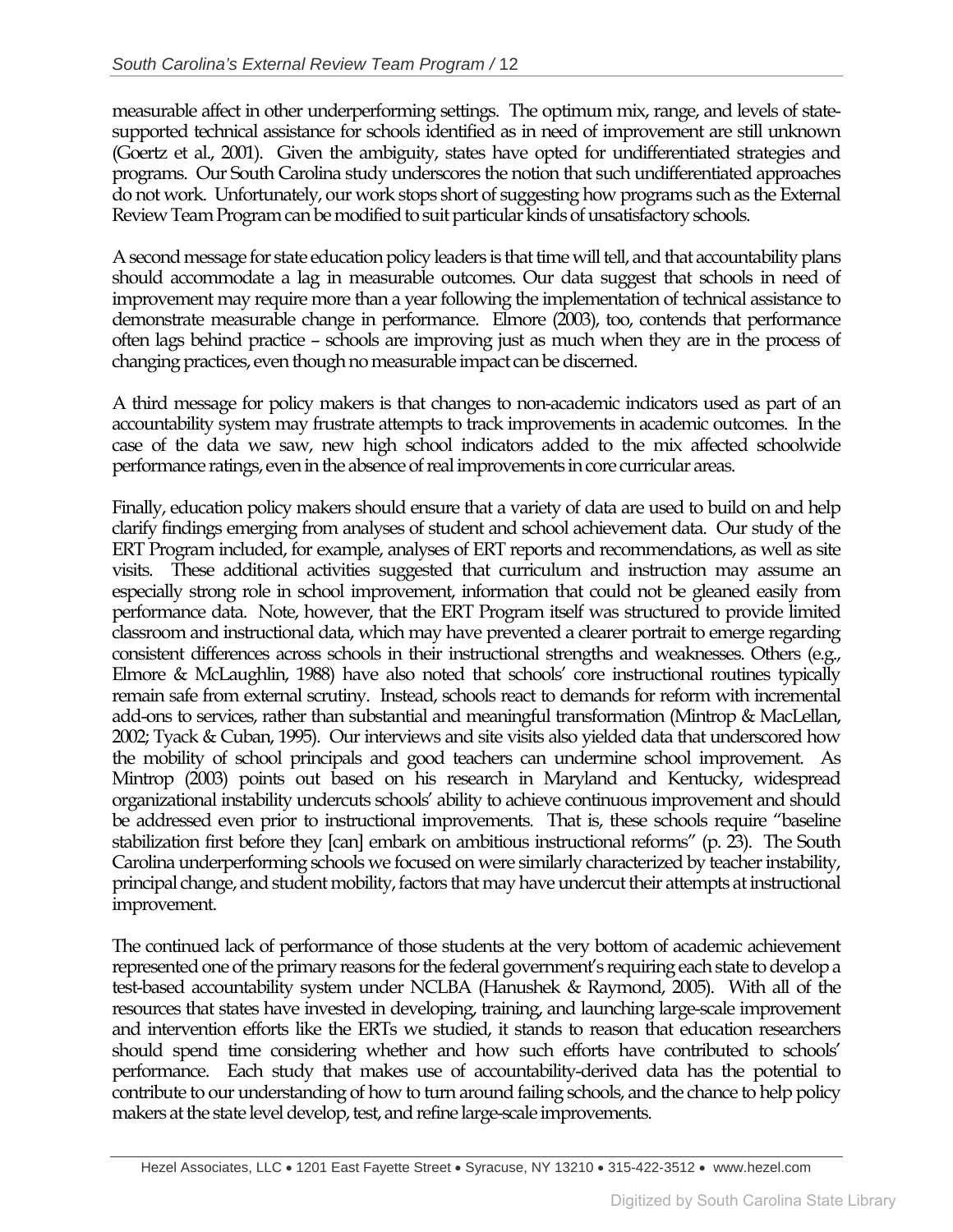measurable affect in other underperforming settings. The optimum mix, range, and levels of statesupported technical assistance for schools identified as in need of improvement are still unknown (Goertz et al., 2001). Given the ambiguity, states have opted for undifferentiated strategies and programs. Our South Carolina study underscores the notion that such undifferentiated approaches do not work. Unfortunately, our work stops short of suggesting how programs such as the External Review Team Program can be modified to suit particular kinds of unsatisfactory schools.

A second message for state education policy leaders is that time will tell, and that accountability plans should accommodate a lag in measurable outcomes. Our data suggest that schools in need of improvement may require more than a year following the implementation of technical assistance to demonstrate measurable change in performance. Elmore (2003), too, contends that performance often lags behind practice – schools are improving just as much when they are in the process of changing practices, even though no measurable impact can be discerned.

A third message for policy makers is that changes to non-academic indicators used as part of an accountability system may frustrate attempts to track improvements in academic outcomes. In the case of the data we saw, new high school indicators added to the mix affected schoolwide performance ratings, even in the absence of real improvements in core curricular areas.

Finally, education policy makers should ensure that a variety of data are used to build on and help clarify findings emerging from analyses of student and school achievement data. Our study of the ERT Program included, for example, analyses of ERT reports and recommendations, as well as site visits. These additional activities suggested that curriculum and instruction may assume an especially strong role in school improvement, information that could not be gleaned easily from performance data. Note, however, that the ERT Program itself was structured to provide limited classroom and instructional data, which may have prevented a clearer portrait to emerge regarding consistent differences across schools in their instructional strengths and weaknesses. Others (e.g., Elmore & McLaughlin, 1988) have also noted that schools' core instructional routines typically remain safe from external scrutiny. Instead, schools react to demands for reform with incremental add-ons to services, rather than substantial and meaningful transformation (Mintrop & MacLellan, 2002; Tyack & Cuban, 1995). Our interviews and site visits also yielded data that underscored how the mobility of school principals and good teachers can undermine school improvement. As Mintrop (2003) points out based on his research in Maryland and Kentucky, widespread organizational instability undercuts schools' ability to achieve continuous improvement and should be addressed even prior to instructional improvements. That is, these schools require "baseline stabilization first before they [can] embark on ambitious instructional reforms" (p. 23). The South Carolina underperforming schools we focused on were similarly characterized by teacher instability, principal change, and student mobility, factors that may have undercut their attempts at instructional improvement.

The continued lack of performance of those students at the very bottom of academic achievement represented one of the primary reasons for the federal government's requiring each state to develop a test-based accountability system under NCLBA (Hanushek & Raymond, 2005). With all of the resources that states have invested in developing, training, and launching large-scale improvement and intervention efforts like the ERTs we studied, it stands to reason that education researchers should spend time considering whether and how such efforts have contributed to schools' performance. Each study that makes use of accountability-derived data has the potential to contribute to our understanding of how to turn around failing schools, and the chance to help policy makers at the state level develop, test, and refine large-scale improvements.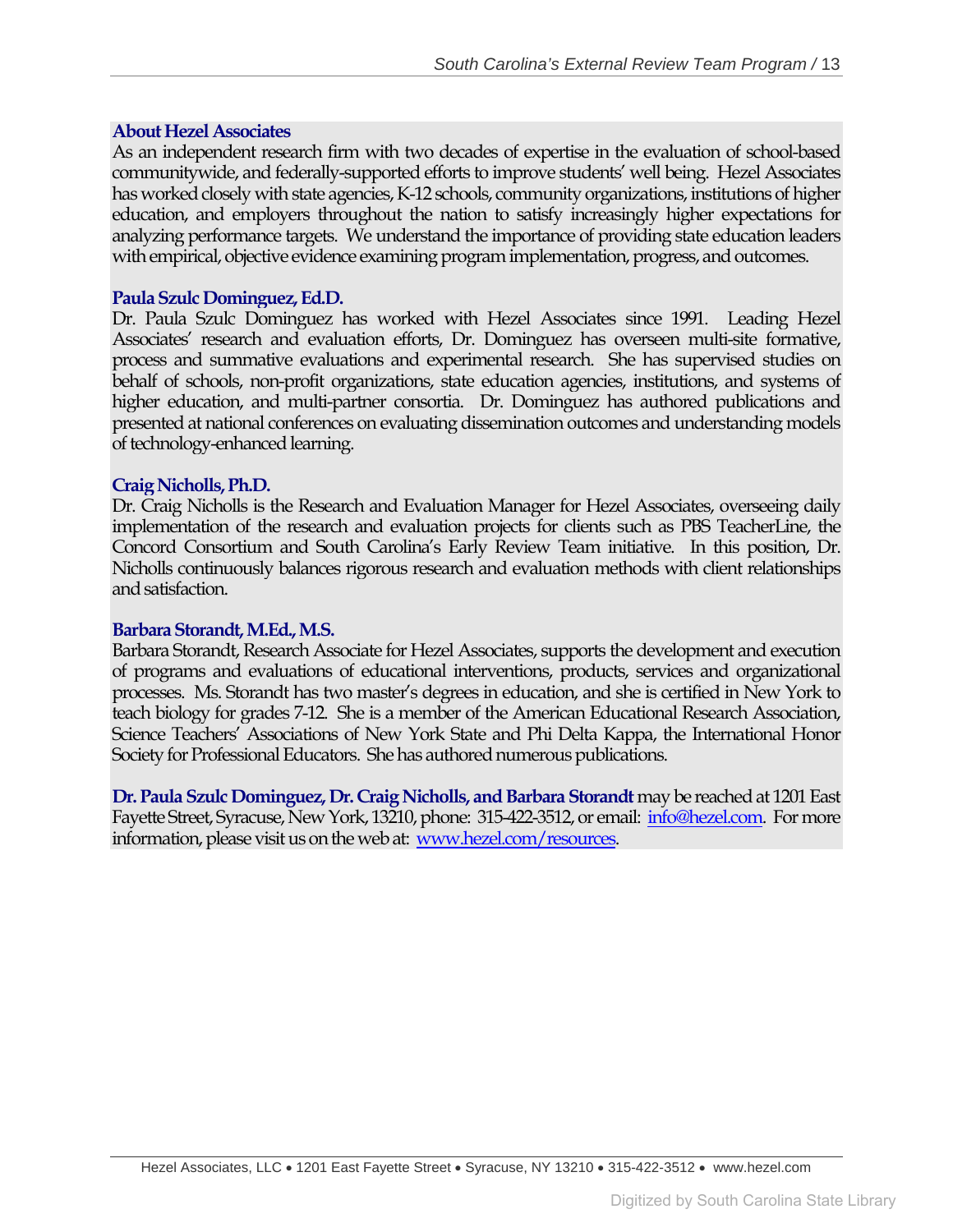#### **About Hezel Associates**

As an independent research firm with two decades of expertise in the evaluation of school-based communitywide, and federally-supported efforts to improve students' well being. Hezel Associates has worked closely with state agencies, K-12 schools, community organizations, institutions of higher education, and employers throughout the nation to satisfy increasingly higher expectations for analyzing performance targets. We understand the importance of providing state education leaders with empirical, objective evidence examining program implementation, progress, and outcomes.

#### **Paula Szulc Dominguez, Ed.D.**

Dr. Paula Szulc Dominguez has worked with Hezel Associates since 1991. Leading Hezel Associates' research and evaluation efforts, Dr. Dominguez has overseen multi-site formative, process and summative evaluations and experimental research. She has supervised studies on behalf of schools, non-profit organizations, state education agencies, institutions, and systems of higher education, and multi-partner consortia. Dr. Dominguez has authored publications and presented at national conferences on evaluating dissemination outcomes and understanding models of technology-enhanced learning.

#### **Craig Nicholls, Ph.D.**

Dr. Craig Nicholls is the Research and Evaluation Manager for Hezel Associates, overseeing daily implementation of the research and evaluation projects for clients such as PBS TeacherLine, the Concord Consortium and South Carolina's Early Review Team initiative. In this position, Dr. Nicholls continuously balances rigorous research and evaluation methods with client relationships and satisfaction.

#### **Barbara Storandt, M.Ed., M.S.**

Barbara Storandt, Research Associate for Hezel Associates, supports the development and execution of programs and evaluations of educational interventions, products, services and organizational processes. Ms. Storandt has two master's degrees in education, and she is certified in New York to teach biology for grades 7-12. She is a member of the American Educational Research Association, Science Teachers' Associations of New York State and Phi Delta Kappa, the International Honor Society for Professional Educators. She has authored numerous publications.

**Dr. Paula Szulc Dominguez, Dr. Craig Nicholls, and Barbara Storandt** may be reached at 1201 East Fayette Street, Syracuse, New York, 13210, phone: 315-422-3512, or email: info@hezel.com. For more information, please visit us on the web at: www.hezel.com/resources.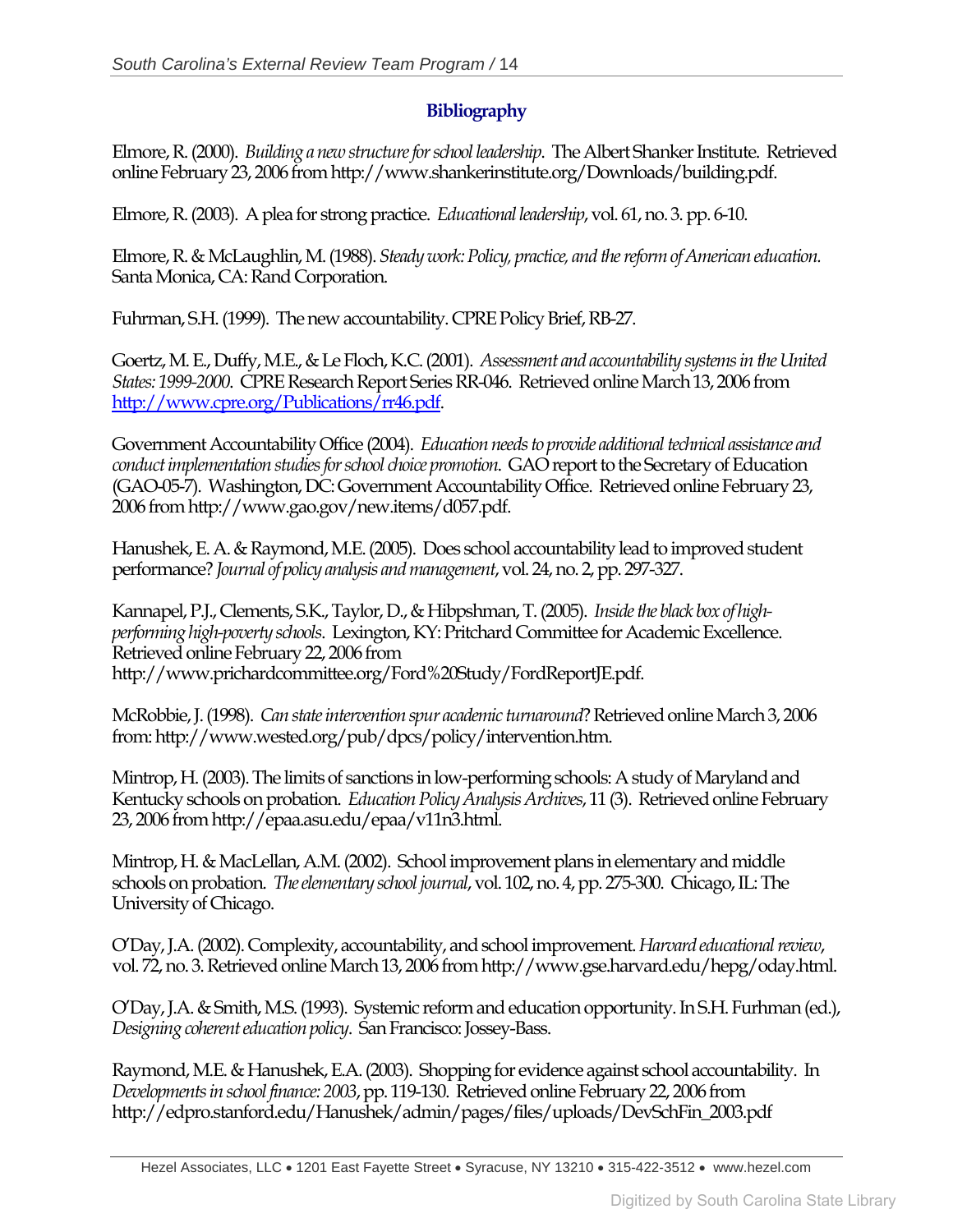# **Bibliography**

Elmore, R. (2000). *Building a new structure for school leadership*. The Albert Shanker Institute. Retrieved online February 23, 2006 from http://www.shankerinstitute.org/Downloads/building.pdf.

Elmore, R. (2003). A plea for strong practice. *Educational leadership*, vol. 61, no. 3. pp. 6-10.

Elmore, R. & McLaughlin, M. (1988). *Steady work: Policy, practice, and the reform of American education.* Santa Monica, CA: Rand Corporation.

Fuhrman, S.H. (1999). The new accountability. CPRE Policy Brief, RB-27.

Goertz, M. E., Duffy, M.E., & Le Floch, K.C. (2001). *Assessment and accountability systems in the United States: 1999-2000*. CPRE Research Report Series RR-046. Retrieved online March 13, 2006 from http://www.cpre.org/Publications/rr46.pdf.

Government Accountability Office (2004). *Education needs to provide additional technical assistance and conduct implementation studies for school choice promotion*. GAO report to the Secretary of Education (GAO-05-7). Washington, DC: Government Accountability Office. Retrieved online February 23, 2006 from http://www.gao.gov/new.items/d057.pdf.

Hanushek, E. A. & Raymond, M.E. (2005). Does school accountability lead to improved student performance? *Journal of policy analysis and management*, vol. 24, no. 2, pp. 297-327.

Kannapel, P.J., Clements, S.K., Taylor, D., & Hibpshman, T. (2005). *Inside the black box of highperforming high-poverty schools*. Lexington, KY: Pritchard Committee for Academic Excellence. Retrieved online February 22, 2006 from http://www.prichardcommittee.org/Ford%20Study/FordReportJE.pdf.

McRobbie, J. (1998). *Can state intervention spur academic turnaround*? Retrieved online March 3, 2006 from: http://www.wested.org/pub/dpcs/policy/intervention.htm.

Mintrop, H. (2003). The limits of sanctions in low-performing schools: A study of Maryland and Kentucky schools on probation. *Education Policy Analysis Archives*, 11 (3). Retrieved online February 23, 2006 from http://epaa.asu.edu/epaa/v11n3.html.

Mintrop, H. & MacLellan, A.M. (2002). School improvement plans in elementary and middle schools on probation. *The elementary school journal*, vol. 102, no. 4, pp. 275-300. Chicago, IL: The University of Chicago.

O'Day, J.A. (2002). Complexity, accountability, and school improvement. *Harvard educational review*, vol. 72, no. 3. Retrieved online March 13, 2006 from http://www.gse.harvard.edu/hepg/oday.html.

O'Day, J.A. & Smith, M.S. (1993). Systemic reform and education opportunity. In S.H. Furhman (ed.), *Designing coherent education policy*. San Francisco: Jossey-Bass.

Raymond, M.E. & Hanushek, E.A. (2003). Shopping for evidence against school accountability. In *Developments in school finance: 2003*, pp. 119-130. Retrieved online February 22, 2006 from http://edpro.stanford.edu/Hanushek/admin/pages/files/uploads/DevSchFin\_2003.pdf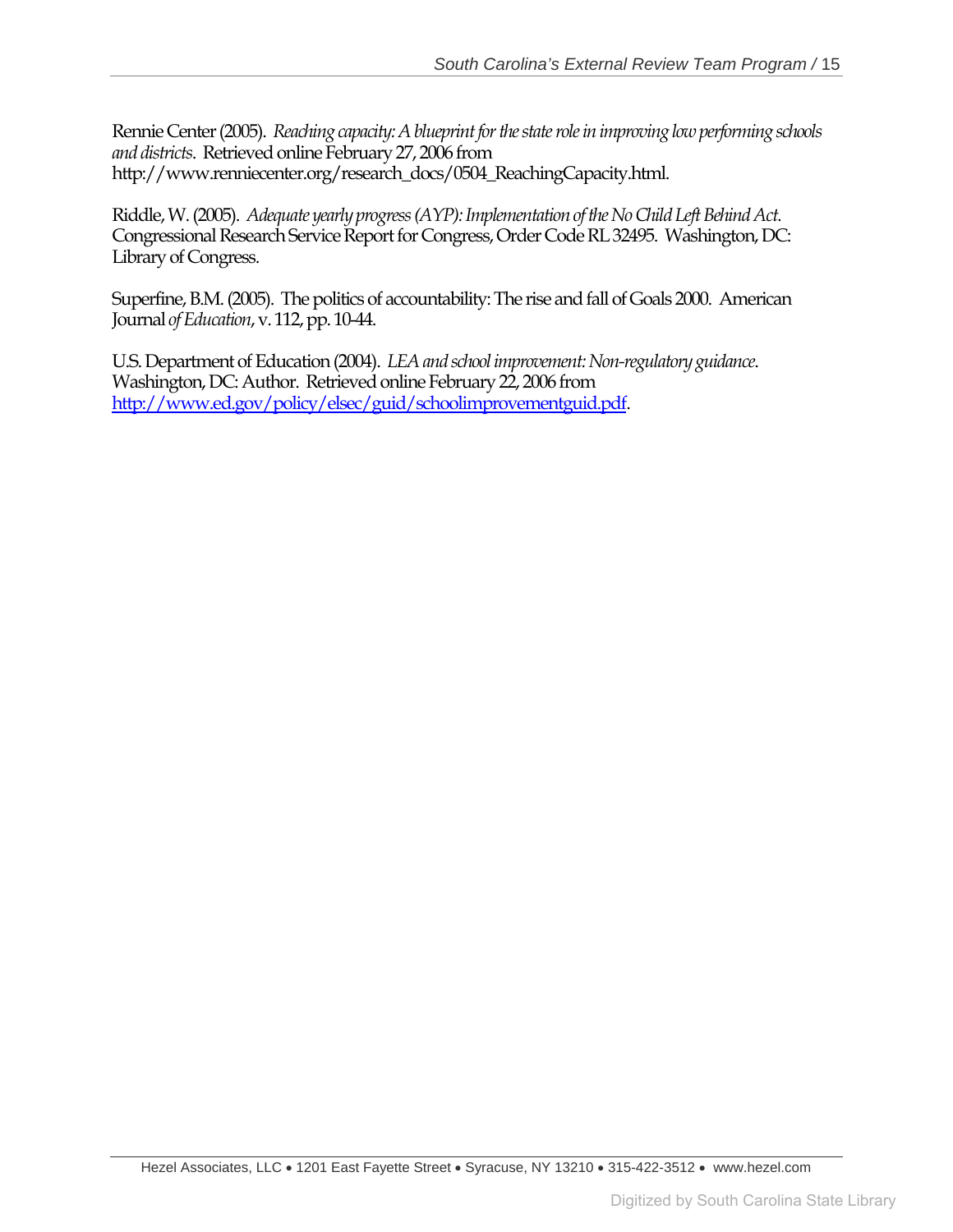Rennie Center (2005). *Reaching capacity: A blueprint for the state role in improving low performing schools and districts*. Retrieved online February 27, 2006 from http://www.renniecenter.org/research\_docs/0504\_ReachingCapacity.html.

Riddle, W. (2005). *Adequate yearly progress (AYP): Implementation of the No Child Left Behind Act*. Congressional Research Service Report for Congress, Order Code RL 32495. Washington, DC: Library of Congress.

Superfine, B.M. (2005). The politics of accountability: The rise and fall of Goals 2000. American Journal *of Education*, v. 112, pp. 10-44.

U.S. Department of Education (2004). *LEA and school improvement: Non-regulatory guidance*. Washington, DC: Author. Retrieved online February 22, 2006 from http://www.ed.gov/policy/elsec/guid/schoolimprovementguid.pdf.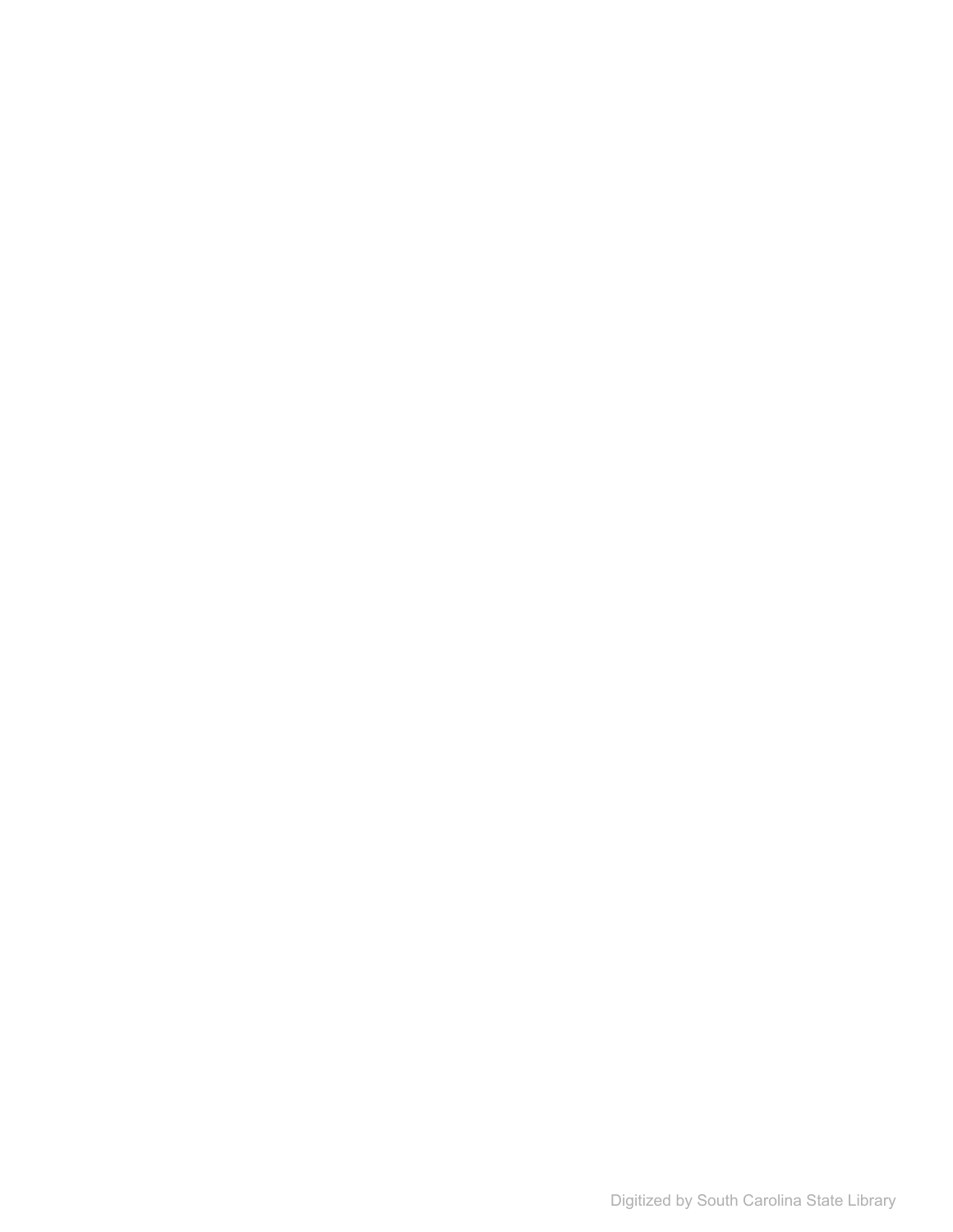Digitized by South Carolina State Library